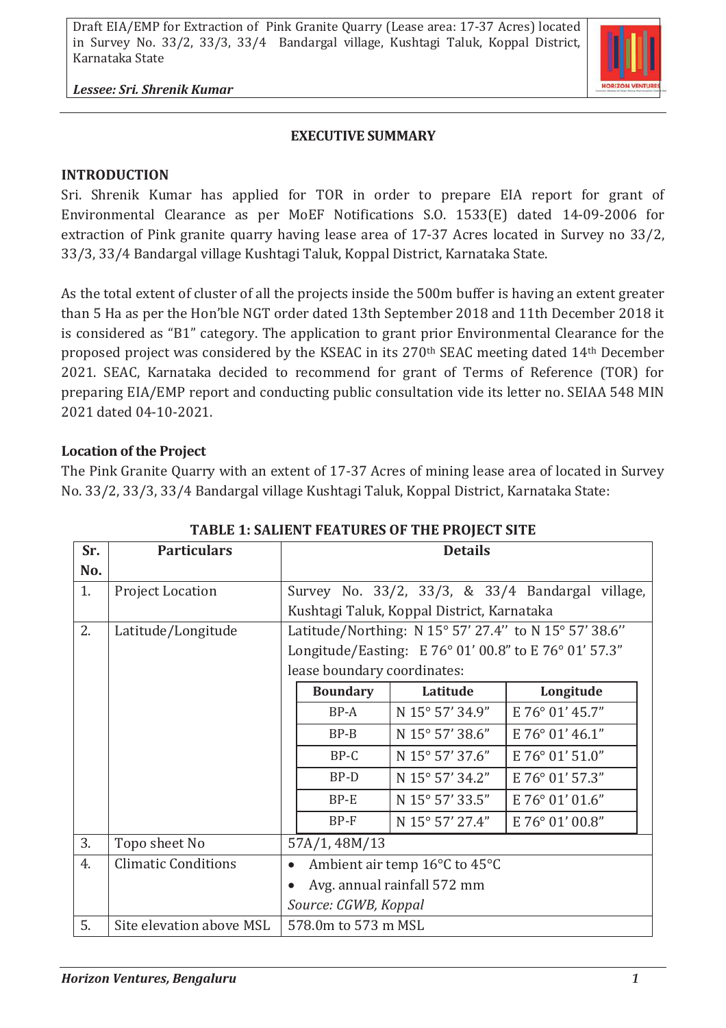

*Lessee: Sri. Shrenik Kumar*

#### **EXECUTIVE SUMMARY**

## **INTRODUCTION**

Sri. Shrenik Kumar has applied for TOR in order to prepare EIA report for grant of Environmental Clearance as per MoEF Notifications S.O. 1533(E) dated 14-09-2006 for extraction of Pink granite quarry having lease area of 17-37 Acres located in Survey no 33/2, 33/3, 33/4 Bandargal village Kushtagi Taluk, Koppal District, Karnataka State.

As the total extent of cluster of all the projects inside the 500m buffer is having an extent greater than 5 Ha as per the Hon'ble NGT order dated 13th September 2018 and 11th December 2018 it is considered as "B1" category. The application to grant prior Environmental Clearance for the proposed project was considered by the KSEAC in its 270th SEAC meeting dated 14th December 2021. SEAC, Karnataka decided to recommend for grant of Terms of Reference (TOR) for preparing EIA/EMP report and conducting public consultation vide its letter no. SEIAA 548 MIN 2021 dated 04-10-2021.

## **Location of the Project**

The Pink Granite Quarry with an extent of 17-37 Acres of mining lease area of located in Survey No. 33/2, 33/3, 33/4 Bandargal village Kushtagi Taluk, Koppal District, Karnataka State:

| Sr. | <b>Particulars</b>         | <b>Details</b>                                        |                 |                 |                 |  |
|-----|----------------------------|-------------------------------------------------------|-----------------|-----------------|-----------------|--|
| No. |                            |                                                       |                 |                 |                 |  |
| 1.  | <b>Project Location</b>    | Survey No. 33/2, 33/3, & 33/4 Bandargal village,      |                 |                 |                 |  |
|     |                            | Kushtagi Taluk, Koppal District, Karnataka            |                 |                 |                 |  |
| 2.  | Latitude/Longitude         | Latitude/Northing: N 15° 57' 27.4" to N 15° 57' 38.6" |                 |                 |                 |  |
|     |                            | Longitude/Easting: E 76° 01' 00.8" to E 76° 01' 57.3" |                 |                 |                 |  |
|     |                            | lease boundary coordinates:                           |                 |                 |                 |  |
|     |                            |                                                       | <b>Boundary</b> | Latitude        | Longitude       |  |
|     |                            |                                                       | $BP-A$          | N 15° 57' 34.9" | E 76° 01' 45.7" |  |
|     |                            |                                                       | $BP-B$          | N 15° 57' 38.6" | E 76° 01' 46.1" |  |
|     |                            |                                                       | BP-C            | N 15° 57' 37.6" | E 76° 01' 51.0" |  |
|     |                            |                                                       | BP-D            | N 15° 57' 34.2" | E 76° 01' 57.3" |  |
|     |                            |                                                       | $BP-E$          | N 15° 57' 33.5" | E 76° 01' 01.6" |  |
|     |                            |                                                       | $BP-F$          | N 15° 57' 27.4" | E 76° 01' 00.8" |  |
| 3.  | Topo sheet No              | 57A/1, 48M/13                                         |                 |                 |                 |  |
| 4.  | <b>Climatic Conditions</b> | Ambient air temp 16°C to 45°C<br>$\bullet$            |                 |                 |                 |  |
|     |                            | Avg. annual rainfall 572 mm                           |                 |                 |                 |  |
|     |                            | Source: CGWB, Koppal                                  |                 |                 |                 |  |
| 5.  | Site elevation above MSL   | 578.0m to 573 m MSL                                   |                 |                 |                 |  |

## **TABLE 1: SALIENT FEATURES OF THE PROJECT SITE**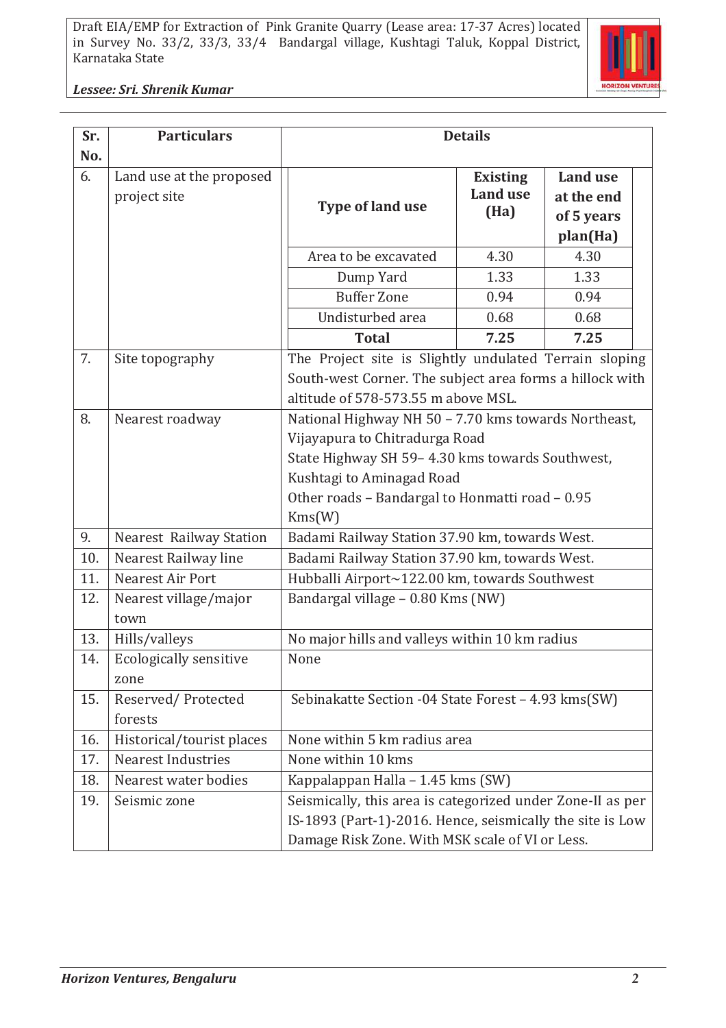

*Lessee: Sri. Shrenik Kumar*

| Sr. | <b>Particulars</b>             | <b>Details</b>                                             |                 |                 |  |  |
|-----|--------------------------------|------------------------------------------------------------|-----------------|-----------------|--|--|
| No. |                                |                                                            |                 |                 |  |  |
| 6.  | Land use at the proposed       |                                                            | <b>Existing</b> | <b>Land use</b> |  |  |
|     | project site                   | <b>Type of land use</b>                                    | <b>Land use</b> | at the end      |  |  |
|     |                                |                                                            | (Ha)            | of 5 years      |  |  |
|     |                                |                                                            |                 | plan(Ha)        |  |  |
|     |                                | Area to be excavated                                       | 4.30            | 4.30            |  |  |
|     |                                | Dump Yard                                                  | 1.33            | 1.33            |  |  |
|     |                                | <b>Buffer Zone</b>                                         | 0.94            | 0.94            |  |  |
|     |                                | Undisturbed area                                           | 0.68            | 0.68            |  |  |
|     |                                | <b>Total</b>                                               | 7.25            | 7.25            |  |  |
| 7.  | Site topography                | The Project site is Slightly undulated Terrain sloping     |                 |                 |  |  |
|     |                                | South-west Corner. The subject area forms a hillock with   |                 |                 |  |  |
|     |                                | altitude of 578-573.55 m above MSL.                        |                 |                 |  |  |
| 8.  | Nearest roadway                | National Highway NH 50 - 7.70 kms towards Northeast,       |                 |                 |  |  |
|     |                                | Vijayapura to Chitradurga Road                             |                 |                 |  |  |
|     |                                | State Highway SH 59-4.30 kms towards Southwest,            |                 |                 |  |  |
|     |                                | Kushtagi to Aminagad Road                                  |                 |                 |  |  |
|     |                                | Other roads - Bandargal to Honmatti road - 0.95            |                 |                 |  |  |
|     |                                | Kms(W)                                                     |                 |                 |  |  |
| 9.  | <b>Nearest Railway Station</b> | Badami Railway Station 37.90 km, towards West.             |                 |                 |  |  |
| 10. | Nearest Railway line           | Badami Railway Station 37.90 km, towards West.             |                 |                 |  |  |
| 11. | Nearest Air Port               | Hubballi Airport~122.00 km, towards Southwest              |                 |                 |  |  |
| 12. | Nearest village/major          | Bandargal village - 0.80 Kms (NW)                          |                 |                 |  |  |
|     | town                           |                                                            |                 |                 |  |  |
| 13. | Hills/valleys                  | No major hills and valleys within 10 km radius             |                 |                 |  |  |
| 14. | <b>Ecologically sensitive</b>  | None                                                       |                 |                 |  |  |
|     | zone                           |                                                            |                 |                 |  |  |
| 15. | Reserved/Protected             | Sebinakatte Section -04 State Forest - 4.93 kms(SW)        |                 |                 |  |  |
|     | forests                        |                                                            |                 |                 |  |  |
| 16. | Historical/tourist places      | None within 5 km radius area                               |                 |                 |  |  |
| 17. | <b>Nearest Industries</b>      | None within 10 kms                                         |                 |                 |  |  |
| 18. | Nearest water bodies           | Kappalappan Halla – 1.45 kms (SW)                          |                 |                 |  |  |
| 19. | Seismic zone                   | Seismically, this area is categorized under Zone-II as per |                 |                 |  |  |
|     |                                | IS-1893 (Part-1)-2016. Hence, seismically the site is Low  |                 |                 |  |  |
|     |                                | Damage Risk Zone. With MSK scale of VI or Less.            |                 |                 |  |  |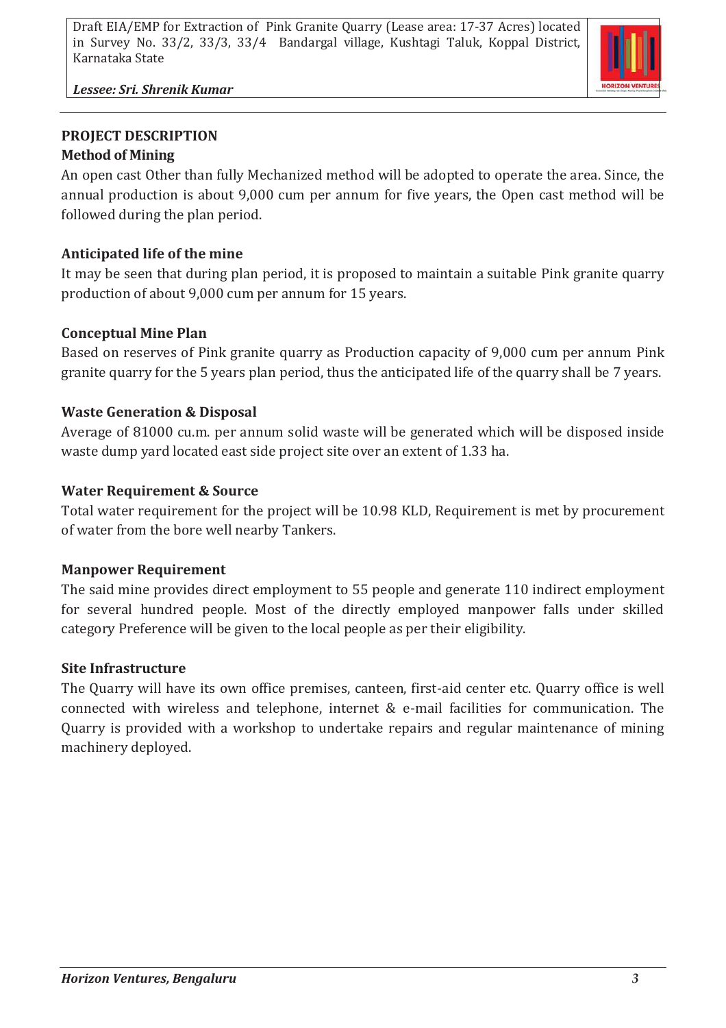

*Lessee: Sri. Shrenik Kumar*

## **PROJECT DESCRIPTION Method of Mining**

An open cast Other than fully Mechanized method will be adopted to operate the area. Since, the annual production is about 9,000 cum per annum for five years, the Open cast method will be followed during the plan period.

# **Anticipated life of the mine**

It may be seen that during plan period, it is proposed to maintain a suitable Pink granite quarry production of about 9,000 cum per annum for 15 years.

## **Conceptual Mine Plan**

Based on reserves of Pink granite quarry as Production capacity of 9,000 cum per annum Pink granite quarry for the 5 years plan period, thus the anticipated life of the quarry shall be 7 years.

## **Waste Generation & Disposal**

Average of 81000 cu.m. per annum solid waste will be generated which will be disposed inside waste dump yard located east side project site over an extent of 1.33 ha.

## **Water Requirement & Source**

Total water requirement for the project will be 10.98 KLD, Requirement is met by procurement of water from the bore well nearby Tankers.

## **Manpower Requirement**

The said mine provides direct employment to 55 people and generate 110 indirect employment for several hundred people. Most of the directly employed manpower falls under skilled category Preference will be given to the local people as per their eligibility.

#### **Site Infrastructure**

The Quarry will have its own office premises, canteen, first-aid center etc. Quarry office is well connected with wireless and telephone, internet & e-mail facilities for communication. The Quarry is provided with a workshop to undertake repairs and regular maintenance of mining machinery deployed.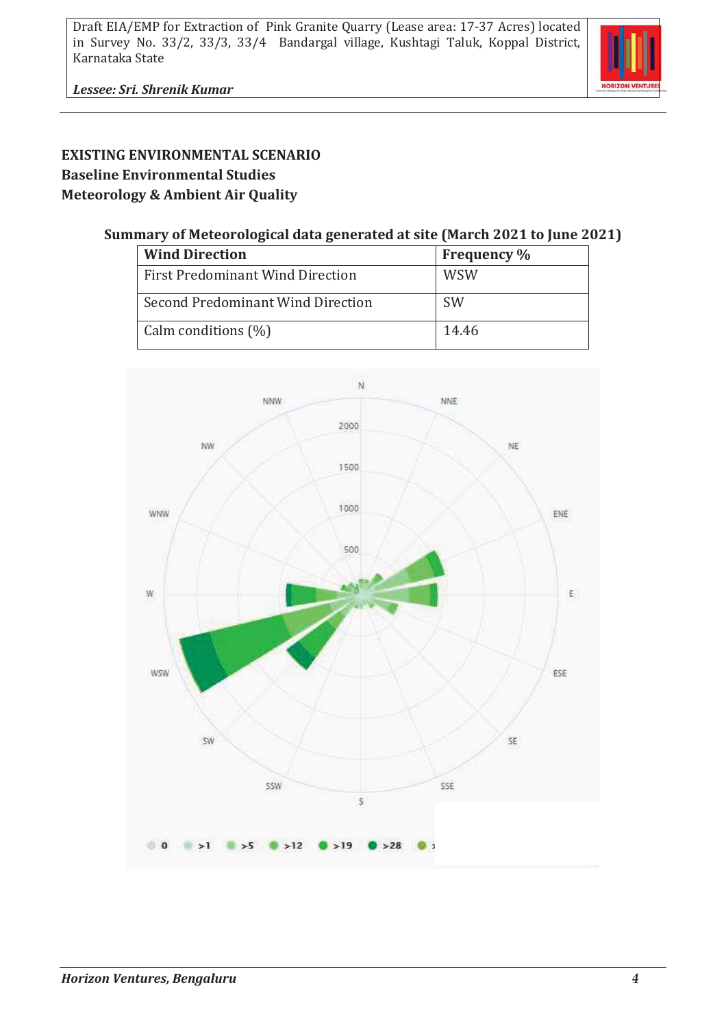

## **EXISTING ENVIRONMENTAL SCENARIO Baseline Environmental Studies Meteorology & Ambient Air Quality**

#### **Summary of Meteorological data generated at site (March 2021 to June 2021)**

| <b>Wind Direction</b>             | <b>Frequency</b> % |
|-----------------------------------|--------------------|
| First Predominant Wind Direction  | <b>WSW</b>         |
| Second Predominant Wind Direction | <b>SW</b>          |
| Calm conditions (%)               | 14.46              |

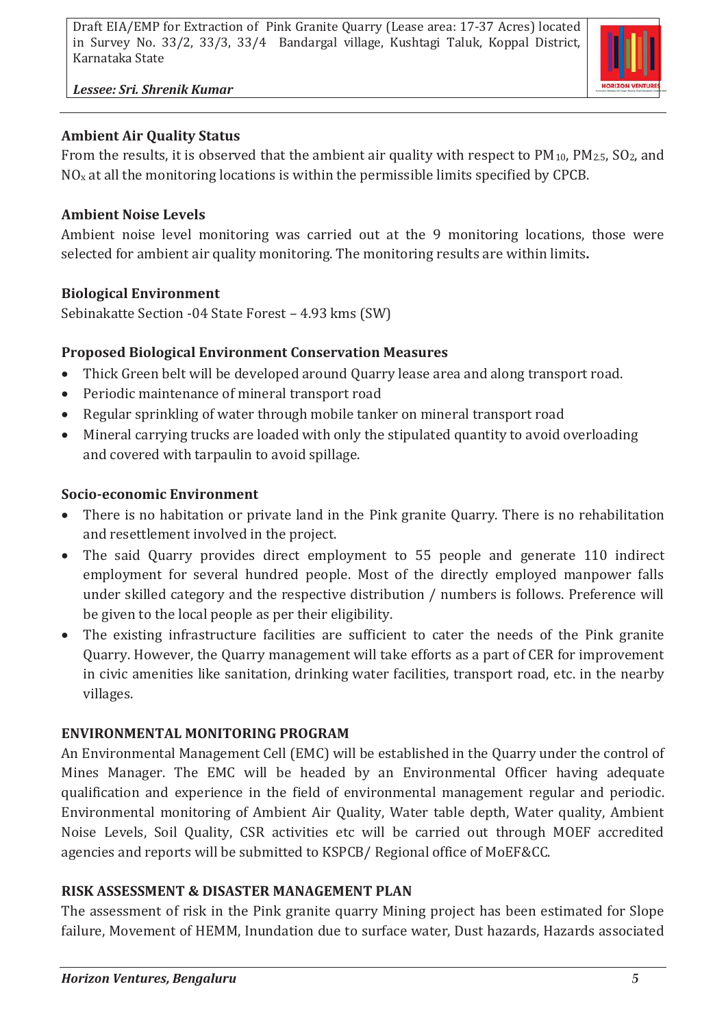*Lessee: Sri. Shrenik Kumar*

## **Ambient Air Quality Status**

From the results, it is observed that the ambient air quality with respect to  $PM_{10}$ ,  $PM_{2.5}$ ,  $SO_2$ , and  $NO<sub>x</sub>$  at all the monitoring locations is within the permissible limits specified by CPCB.

## **Ambient Noise Levels**

Ambient noise level monitoring was carried out at the 9 monitoring locations, those were selected for ambient air quality monitoring. The monitoring results are within limits**.**

## **Biological Environment**

Sebinakatte Section -04 State Forest – 4.93 kms (SW)

## **Proposed Biological Environment Conservation Measures**

- Thick Green belt will be developed around Quarry lease area and along transport road.
- · Periodic maintenance of mineral transport road
- · Regular sprinkling of water through mobile tanker on mineral transport road
- · Mineral carrying trucks are loaded with only the stipulated quantity to avoid overloading and covered with tarpaulin to avoid spillage.

## **Socio-economic Environment**

- · There is no habitation or private land in the Pink granite Quarry. There is no rehabilitation and resettlement involved in the project.
- · The said Quarry provides direct employment to 55 people and generate 110 indirect employment for several hundred people. Most of the directly employed manpower falls under skilled category and the respective distribution / numbers is follows. Preference will be given to the local people as per their eligibility.
- · The existing infrastructure facilities are sufficient to cater the needs of the Pink granite Quarry. However, the Quarry management will take efforts as a part of CER for improvement in civic amenities like sanitation, drinking water facilities, transport road, etc. in the nearby villages.

# **ENVIRONMENTAL MONITORING PROGRAM**

An Environmental Management Cell (EMC) will be established in the Quarry under the control of Mines Manager. The EMC will be headed by an Environmental Officer having adequate qualification and experience in the field of environmental management regular and periodic. Environmental monitoring of Ambient Air Quality, Water table depth, Water quality, Ambient Noise Levels, Soil Quality, CSR activities etc will be carried out through MOEF accredited agencies and reports will be submitted to KSPCB/ Regional office of MoEF&CC.

## **RISK ASSESSMENT & DISASTER MANAGEMENT PLAN**

The assessment of risk in the Pink granite quarry Mining project has been estimated for Slope failure, Movement of HEMM, Inundation due to surface water, Dust hazards, Hazards associated